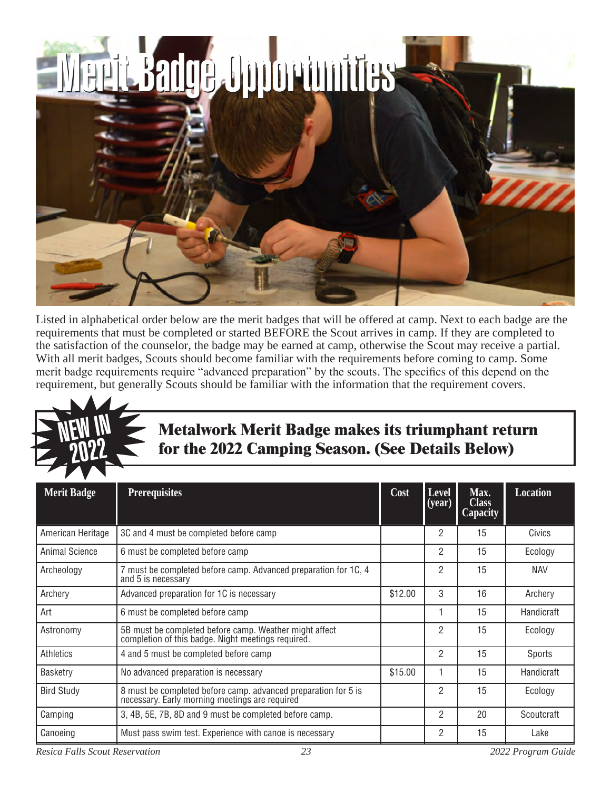

Listed in alphabetical order below are the merit badges that will be offered at camp. Next to each badge are the requirements that must be completed or started BEFORE the Scout arrives in camp. If they are completed to the satisfaction of the counselor, the badge may be earned at camp, otherwise the Scout may receive a partial. With all merit badges, Scouts should become familiar with the requirements before coming to camp. Some merit badge requirements require "advanced preparation" by the scouts. The specifics of this depend on the requirement, but generally Scouts should be familiar with the information that the requirement covers.



### **Metalwork Merit Badge makes its triumphant return for the 2022 Camping Season. (See Details Below)**

| <b>Merit Badge</b> | <b>Prerequisites</b>                                                                                             | Cost    | Level<br>$\sqrt{(year)}$ | Max.<br><b>Class</b><br><b>Capacity</b> | <b>Location</b> |
|--------------------|------------------------------------------------------------------------------------------------------------------|---------|--------------------------|-----------------------------------------|-----------------|
| American Heritage  | 3C and 4 must be completed before camp                                                                           |         | 2                        | 15                                      | Civics          |
| Animal Science     | 6 must be completed before camp                                                                                  |         | 2                        | 15                                      | Ecology         |
| Archeology         | 7 must be completed before camp. Advanced preparation for 1C, 4<br>and 5 is necessary                            |         | 2                        | 15                                      | <b>NAV</b>      |
| Archery            | Advanced preparation for 1C is necessary                                                                         | \$12.00 | 3                        | 16                                      | Archery         |
| Art                | 6 must be completed before camp                                                                                  |         |                          | 15                                      | Handicraft      |
| Astronomy          | 5B must be completed before camp. Weather might affect completion of this badge. Night meetings required.        |         | 2                        | 15                                      | Ecology         |
| Athletics          | 4 and 5 must be completed before camp                                                                            |         | 2                        | 15                                      | Sports          |
| Basketry           | No advanced preparation is necessary                                                                             | \$15.00 |                          | 15                                      | Handicraft      |
| <b>Bird Study</b>  | 8 must be completed before camp. advanced preparation for 5 is<br>necessary. Early morning meetings are required |         | 2                        | 15                                      | Ecology         |
| Camping            | 3, 4B, 5E, 7B, 8D and 9 must be completed before camp.                                                           |         | 2                        | 20                                      | Scoutcraft      |
| Canoeing           | Must pass swim test. Experience with canoe is necessary                                                          |         | 2                        | 15                                      | Lake            |

*Resica Falls Scout Reservation 23 2022 Program Guide*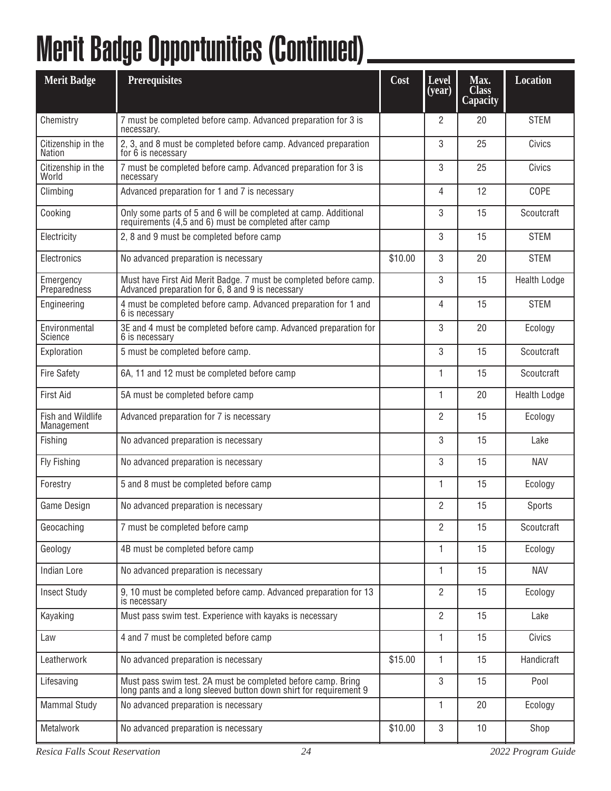# Merit Badge Opportunities (Continued)

| <b>Merit Badge</b>              | <b>Prerequisites</b>                                                                                                              | Cost    | Level<br>( <b>year</b> ) | Max.<br><b>Class</b><br>Capacity | <b>Location</b>     |
|---------------------------------|-----------------------------------------------------------------------------------------------------------------------------------|---------|--------------------------|----------------------------------|---------------------|
| Chemistry                       | 7 must be completed before camp. Advanced preparation for 3 is<br>necessary.                                                      |         | 2                        | 20                               | <b>STEM</b>         |
| Citizenship in the<br>Nation    | 2, 3, and 8 must be completed before camp. Advanced preparation<br>for 6 is necessary                                             |         | 3                        | 25                               | Civics              |
| Citizenship in the<br>World     | 7 must be completed before camp. Advanced preparation for 3 is<br>necessary                                                       |         | 3                        | 25                               | Civics              |
| Climbing                        | Advanced preparation for 1 and 7 is necessary                                                                                     |         | 4                        | 12                               | COPE                |
| Cooking                         | Only some parts of 5 and 6 will be completed at camp. Additional requirements (4,5 and 6) must be completed after camp            |         | 3                        | 15                               | Scoutcraft          |
| Electricity                     | 2, 8 and 9 must be completed before camp                                                                                          |         | 3                        | 15                               | <b>STEM</b>         |
| Electronics                     | No advanced preparation is necessary                                                                                              | \$10.00 | 3                        | 20                               | <b>STEM</b>         |
| Emergency<br>Preparedness       | Must have First Aid Merit Badge. 7 must be completed before camp.<br>Advanced preparation for 6, 8 and 9 is necessary             |         | 3                        | 15                               | <b>Health Lodge</b> |
| Engineering                     | 4 must be completed before camp. Advanced preparation for 1 and<br>6 is necessary                                                 |         | 4                        | 15                               | <b>STEM</b>         |
| Environmental<br>Science        | 3E and 4 must be completed before camp. Advanced preparation for<br>6 is necessary                                                |         | 3                        | 20                               | Ecology             |
| Exploration                     | 5 must be completed before camp.                                                                                                  |         | 3                        | 15                               | Scoutcraft          |
| <b>Fire Safety</b>              | 6A, 11 and 12 must be completed before camp                                                                                       |         | 1                        | 15                               | Scoutcraft          |
| <b>First Aid</b>                | 5A must be completed before camp                                                                                                  |         | 1                        | 20                               | <b>Health Lodge</b> |
| Fish and Wildlife<br>Management | Advanced preparation for 7 is necessary                                                                                           |         | 2                        | 15                               | Ecology             |
| Fishing                         | No advanced preparation is necessary                                                                                              |         | 3                        | 15                               | Lake                |
| Fly Fishing                     | No advanced preparation is necessary                                                                                              |         | 3                        | 15                               | <b>NAV</b>          |
| Forestry                        | 5 and 8 must be completed before camp                                                                                             |         | 1                        | 15                               | Ecology             |
| <b>Game Design</b>              | No advanced preparation is necessary                                                                                              |         | $\mathfrak{p}$           | 15                               | Sports              |
| Geocaching                      | 7 must be completed before camp                                                                                                   |         | 2                        | 15                               | Scoutcraft          |
| Geology                         | 4B must be completed before camp                                                                                                  |         | 1                        | 15                               | Ecology             |
| <b>Indian Lore</b>              | No advanced preparation is necessary                                                                                              |         | 1                        | 15                               | <b>NAV</b>          |
| <b>Insect Study</b>             | 9, 10 must be completed before camp. Advanced preparation for 13<br>is necessary                                                  |         | $\overline{2}$           | 15                               | Ecology             |
| Kayaking                        | Must pass swim test. Experience with kayaks is necessary                                                                          |         | $\overline{2}$           | 15                               | Lake                |
| Law                             | 4 and 7 must be completed before camp                                                                                             |         | 1                        | 15                               | Civics              |
| Leatherwork                     | No advanced preparation is necessary                                                                                              | \$15.00 | 1                        | 15                               | Handicraft          |
| Lifesaving                      | Must pass swim test. 2A must be completed before camp. Bring<br>long pants and a long sleeved button down shirt for requirement 9 |         | 3                        | 15                               | Pool                |
| <b>Mammal Study</b>             | No advanced preparation is necessary                                                                                              |         | 1                        | 20                               | Ecology             |
| Metalwork                       | No advanced preparation is necessary                                                                                              | \$10.00 | 3                        | 10                               | Shop                |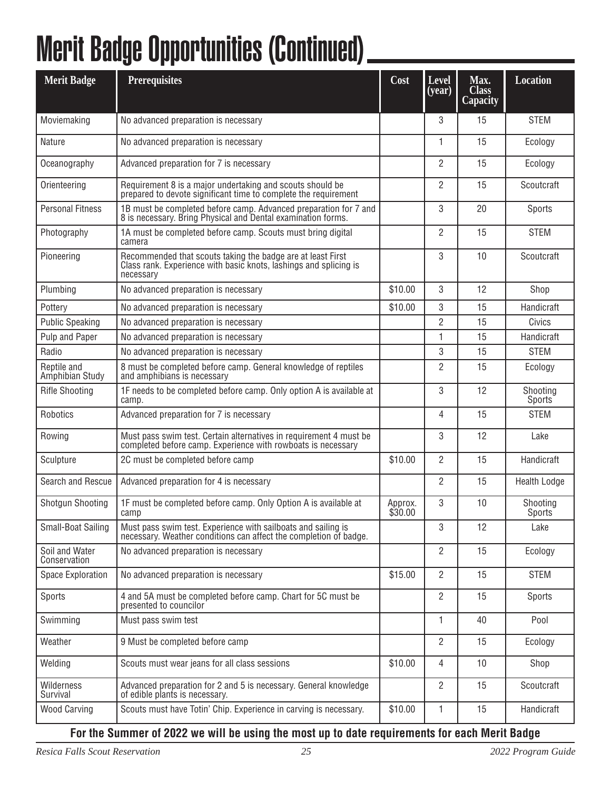## Merit Badge Opportunities (Continued)

| <b>Merit Badge</b>             | <b>Prerequisites</b>                                                                                                                          | Cost               | Level<br>(year) | Max.<br><b>Class</b><br><b>Capacity</b> | <b>Location</b>                 |
|--------------------------------|-----------------------------------------------------------------------------------------------------------------------------------------------|--------------------|-----------------|-----------------------------------------|---------------------------------|
| Moviemaking                    | No advanced preparation is necessary                                                                                                          |                    | 3               | 15                                      | <b>STEM</b>                     |
| <b>Nature</b>                  | No advanced preparation is necessary                                                                                                          |                    | 1               | 15                                      | Ecology                         |
| Oceanography                   | Advanced preparation for 7 is necessary                                                                                                       |                    | 2               | 15                                      | Ecology                         |
| Orienteering                   | Requirement 8 is a major undertaking and scouts should be<br>prepared to devote significant time to complete the requirement                  |                    | 2               | 15                                      | Scoutcraft                      |
| <b>Personal Fitness</b>        | 1B must be completed before camp. Advanced preparation for 7 and 8 is necessary. Bring Physical and Dental examination forms.                 |                    | 3               | 20                                      | Sports                          |
| Photography                    | 1A must be completed before camp. Scouts must bring digital<br>camera                                                                         |                    | $\overline{2}$  | 15                                      | <b>STEM</b>                     |
| Pioneering                     | Recommended that scouts taking the badge are at least First<br>Class rank. Experience with basic knots, lashings and splicing is<br>necessary |                    | 3               | 10                                      | Scoutcraft                      |
| Plumbing                       | No advanced preparation is necessary                                                                                                          | \$10.00            | 3               | 12                                      | Shop                            |
| Pottery                        | No advanced preparation is necessary                                                                                                          | \$10.00            | 3               | 15                                      | Handicraft                      |
| <b>Public Speaking</b>         | No advanced preparation is necessary                                                                                                          |                    | 2               | 15                                      | Civics                          |
| Pulp and Paper                 | No advanced preparation is necessary                                                                                                          |                    | 1               | 15                                      | Handicraft                      |
| Radio                          | No advanced preparation is necessary                                                                                                          |                    | 3               | 15                                      | <b>STEM</b>                     |
| Reptile and<br>Amphibian Study | 8 must be completed before camp. General knowledge of reptiles<br>and amphibians is necessary                                                 |                    | 2               | 15                                      | Ecology                         |
| <b>Rifle Shooting</b>          | 1F needs to be completed before camp. Only option A is available at<br>camp.                                                                  |                    | 3               | 12                                      | Shooting<br>Sports <sup>®</sup> |
| Robotics                       | Advanced preparation for 7 is necessary                                                                                                       |                    | 4               | 15                                      | <b>STEM</b>                     |
| Rowing                         | Must pass swim test. Certain alternatives in requirement 4 must be<br>completed before camp. Experience with rowboats is necessary            |                    | 3               | 12                                      | Lake                            |
| Sculpture                      | 2C must be completed before camp                                                                                                              | \$10.00            | 2               | 15                                      | Handicraft                      |
| Search and Rescue              | Advanced preparation for 4 is necessary                                                                                                       |                    | 2               | 15                                      | <b>Health Lodge</b>             |
| <b>Shotgun Shooting</b>        | 1F must be completed before camp. Only Option A is available at<br>camp                                                                       | Approx.<br>\$30.00 | 3               | 10                                      | Shooting<br>Sports <sup>1</sup> |
| Small-Boat Sailing             | Must pass swim test. Experience with sailboats and sailing is<br>necessary. Weather conditions can affect the completion of badge.            |                    | 3               | 12                                      | Lake                            |
| Soil and Water<br>Conservation | No advanced preparation is necessary                                                                                                          |                    | 2               | 15                                      | Ecology                         |
| <b>Space Exploration</b>       | No advanced preparation is necessary                                                                                                          | \$15.00            | $\overline{2}$  | 15                                      | <b>STEM</b>                     |
| Sports                         | 4 and 5A must be completed before camp. Chart for 5C must be<br>presented to councilor                                                        |                    | 2               | 15                                      | Sports                          |
| Swimming                       | Must pass swim test                                                                                                                           |                    | 1               | 40                                      | Pool                            |
| Weather                        | 9 Must be completed before camp                                                                                                               |                    | 2               | 15                                      | Ecology                         |
| Welding                        | Scouts must wear jeans for all class sessions                                                                                                 | \$10.00            | 4               | 10                                      | Shop                            |
| Wilderness<br>Survival         | Advanced preparation for 2 and 5 is necessary. General knowledge<br>of edible plants is necessary.                                            |                    | 2               | 15                                      | Scoutcraft                      |
| <b>Wood Carving</b>            | Scouts must have Totin' Chip. Experience in carving is necessary.                                                                             | \$10.00            | 1               | 15                                      | Handicraft                      |

#### **For the Summer of 2022 we will be using the most up to date requirements for each Merit Badge**